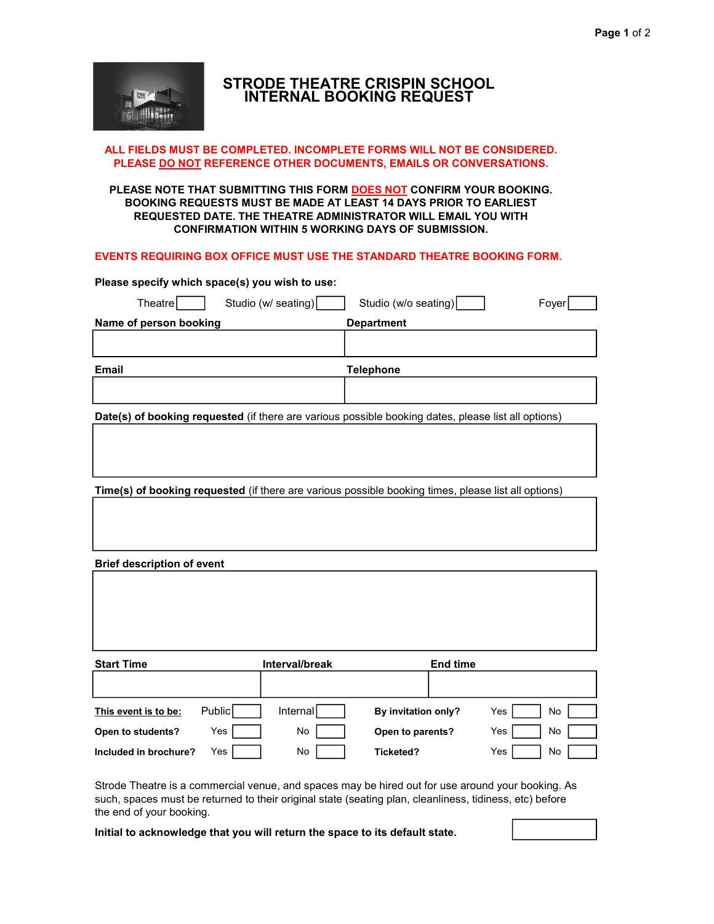

# STRODE THEATRE CRISPIN SCHOOL INTERNAL BOOKING REQUEST

## ALL FIELDS MUST BE COMPLETED. INCOMPLETE FORMS WILL NOT BE CONSIDERED. PLEASE DO NOT REFERENCE OTHER DOCUMENTS, EMAILS OR CONVERSATIONS.

## PLEASE NOTE THAT SUBMITTING THIS FORM DOES NOT CONFIRM YOUR BOOKING. BOOKING REQUESTS MUST BE MADE AT LEAST 14 DAYS PRIOR TO EARLIEST REQUESTED DATE. THE THEATRE ADMINISTRATOR WILL EMAIL YOU WITH CONFIRMATION WITHIN 5 WORKING DAYS OF SUBMISSION.

## EVENTS REQUIRING BOX OFFICE MUST USE THE STANDARD THEATRE BOOKING FORM.

| Please specify which space(s) you wish to use:                                                      |                      |       |  |  |  |
|-----------------------------------------------------------------------------------------------------|----------------------|-------|--|--|--|
| Studio (w/ seating)<br>TheatreI                                                                     | Studio (w/o seating) | Fover |  |  |  |
| Name of person booking                                                                              | <b>Department</b>    |       |  |  |  |
|                                                                                                     |                      |       |  |  |  |
| <b>Email</b><br>Telephone                                                                           |                      |       |  |  |  |
|                                                                                                     |                      |       |  |  |  |
| Date(s) of booking requested (if there are various possible booking dates, please list all options) |                      |       |  |  |  |

Time(s) of booking requested (if there are various possible booking times, please list all options)

Brief description of event

| <b>Start Time</b>     |        | Interval/break |                     | End time |     |    |
|-----------------------|--------|----------------|---------------------|----------|-----|----|
|                       |        |                |                     |          |     |    |
|                       |        |                |                     |          |     |    |
| This event is to be:  | Public | Internall      | By invitation only? |          | Yes | No |
| Open to students?     | Yes    | No             | Open to parents?    |          | Yes | No |
| Included in brochure? | Yes    | No             | Ticketed?           |          | Yes | No |

Strode Theatre is a commercial venue, and spaces may be hired out for use around your booking. As such, spaces must be returned to their original state (seating plan, cleanliness, tidiness, etc) before the end of your booking.

Initial to acknowledge that you will return the space to its default state.